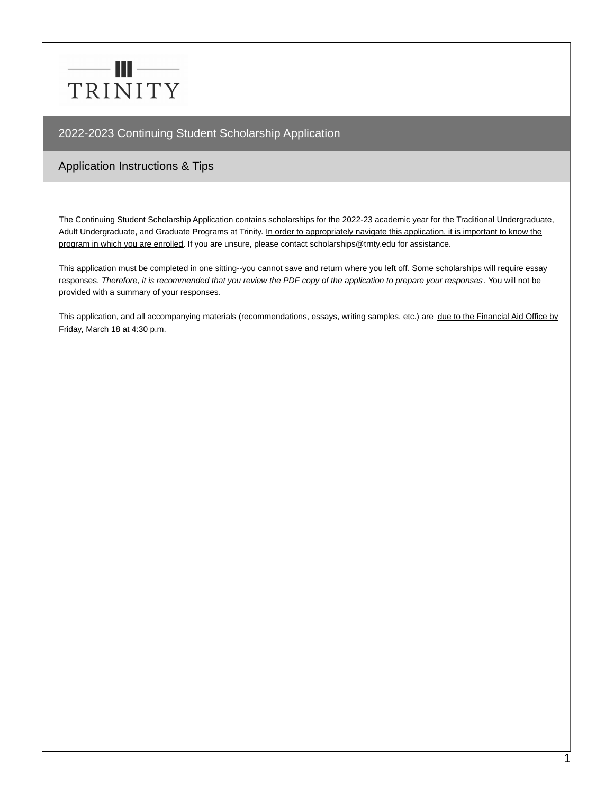# $-\blacksquare$ TRINITY

# 2022-2023 Continuing Student Scholarship Application

# Application Instructions & Tips

The Continuing Student Scholarship Application contains scholarships for the 2022-23 academic year for the Traditional Undergraduate, Adult Undergraduate, and Graduate Programs at Trinity. In order to appropriately navigate this application, it is important to know the program in which you are enrolled. If you are unsure, please contact scholarships@trnty.edu for assistance.

This application must be completed in one sitting--you cannot save and return where you left off. Some scholarships will require essay responses. Therefore, it is recommended that you review the PDF copy of the application to prepare your responses. You will not be provided with a summary of your responses.

This application, and all accompanying materials (recommendations, essays, writing samples, etc.) are due to the Financial Aid Office by Friday, March 18 at 4:30 p.m.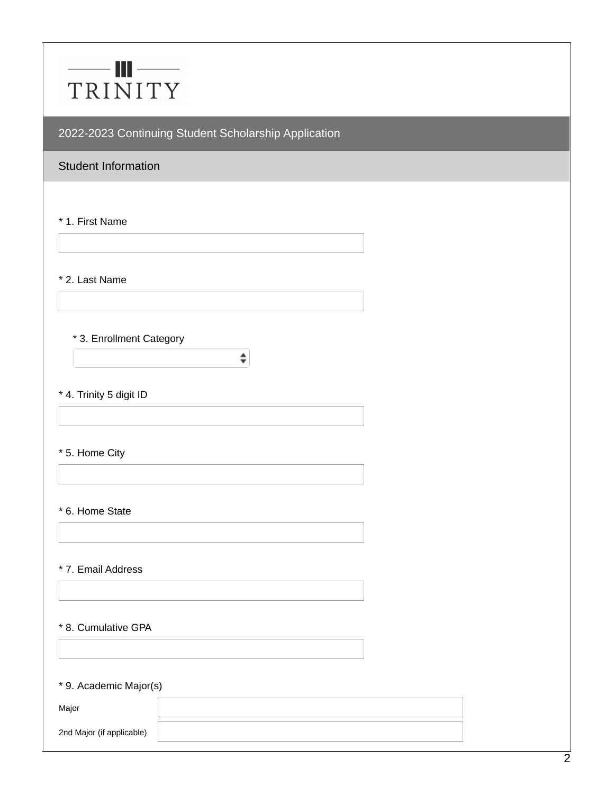# $\qquad \qquad \blacksquare$ TRINITY

2022-2023 Continuing Student Scholarship Application

 $\hat{\mathbf{z}}$ 

# Student Information

\* 1. First Name

\* 2. Last Name

#### \* 3. Enrollment Category

\* 4. Trinity 5 digit ID

\* 5. Home City

#### \* 6. Home State

\* 7. Email Address

#### \* 8. Cumulative GPA

\* 9. Academic Major(s)

| Major                     |  |
|---------------------------|--|
| 2nd Major (if applicable) |  |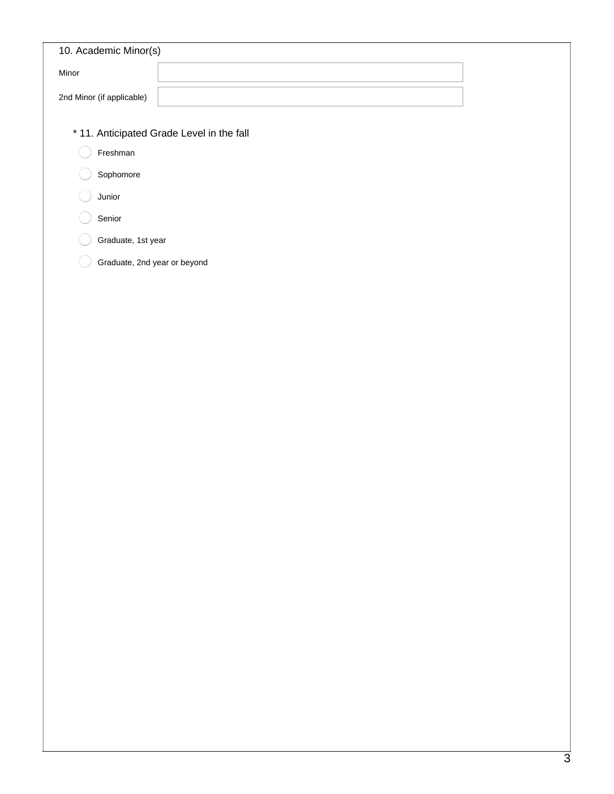| 10. Academic Minor(s)     |  |
|---------------------------|--|
| Minor                     |  |
| 2nd Minor (if applicable) |  |

- \* 11. Anticipated Grade Level in the fall
	- Freshman  $\left( \quad \right)$
	- Sophomore
	- Junior
	- Senior
	- Graduate, 1st year
	- Graduate, 2nd year or beyond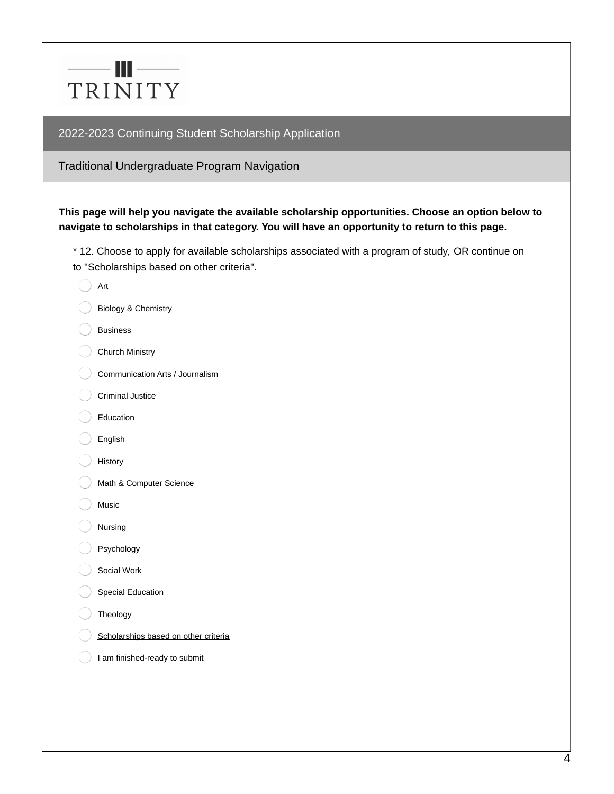

Traditional Undergraduate Program Navigation

## **This page will help you navigate the available scholarship opportunities. Choose an option below to navigate to scholarships in that category. You will have an opportunity to return to this page.**

\* 12. Choose to apply for available scholarships associated with a program of study, OR continue on to "Scholarships based on other criteria".

| Art                                  |
|--------------------------------------|
| Biology & Chemistry                  |
| <b>Business</b>                      |
| Church Ministry                      |
| Communication Arts / Journalism      |
| <b>Criminal Justice</b>              |
| Education                            |
| English                              |
| History                              |
| Math & Computer Science              |
| Music                                |
| Nursing                              |
| Psychology                           |
| Social Work                          |
| <b>Special Education</b>             |
| Theology                             |
| Scholarships based on other criteria |
| I am finished-ready to submit        |
|                                      |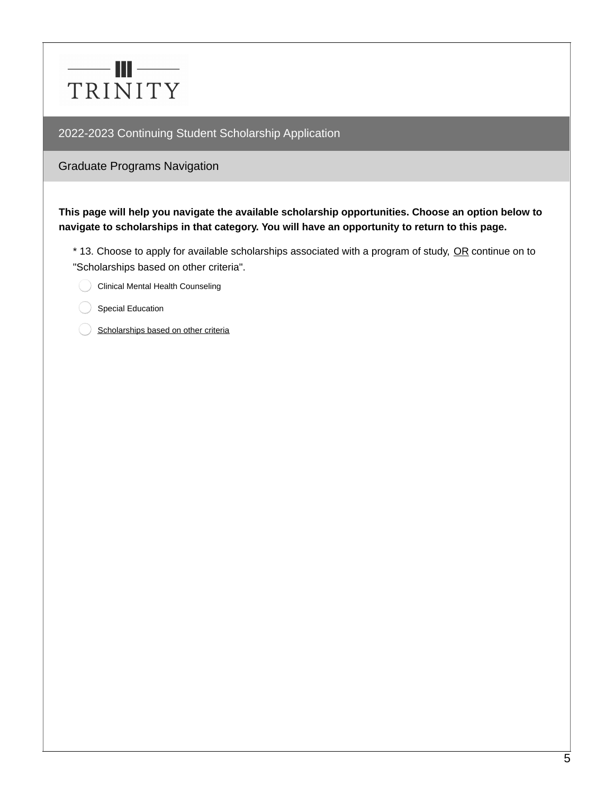

Graduate Programs Navigation

**This page will help you navigate the available scholarship opportunities. Choose an option below to navigate to scholarships in that category. You will have an opportunity to return to this page.**

\* 13. Choose to apply for available scholarships associated with a program of study, OR continue on to "Scholarships based on other criteria".

Clinical Mental Health Counseling

Special Education

Scholarships based on other criteria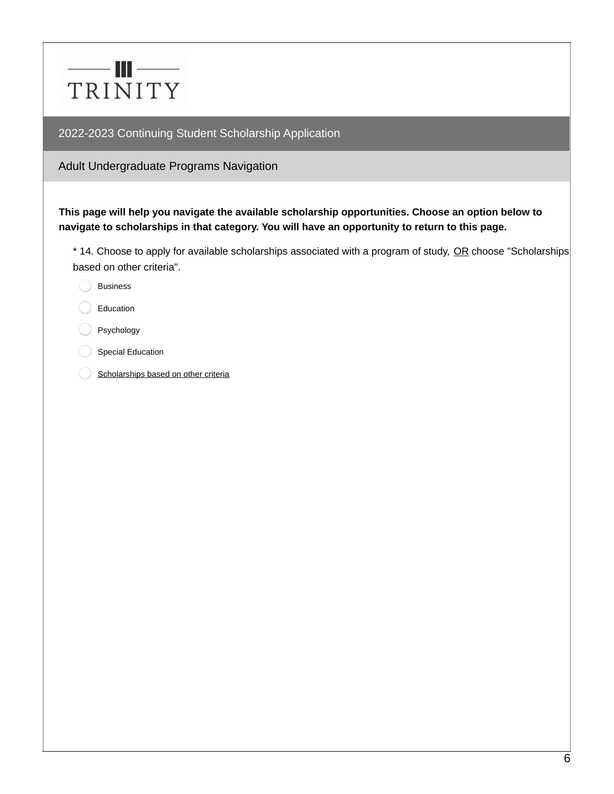

Adult Undergraduate Programs Navigation

**This page will help you navigate the available scholarship opportunities. Choose an option below to navigate to scholarships in that category. You will have an opportunity to return to this page.**

\* 14. Choose to apply for available scholarships associated with a program of study, OR choose "Scholarships based on other criteria".

- Business
- Education
- Psychology
- Special Education
- Scholarships based on other criteria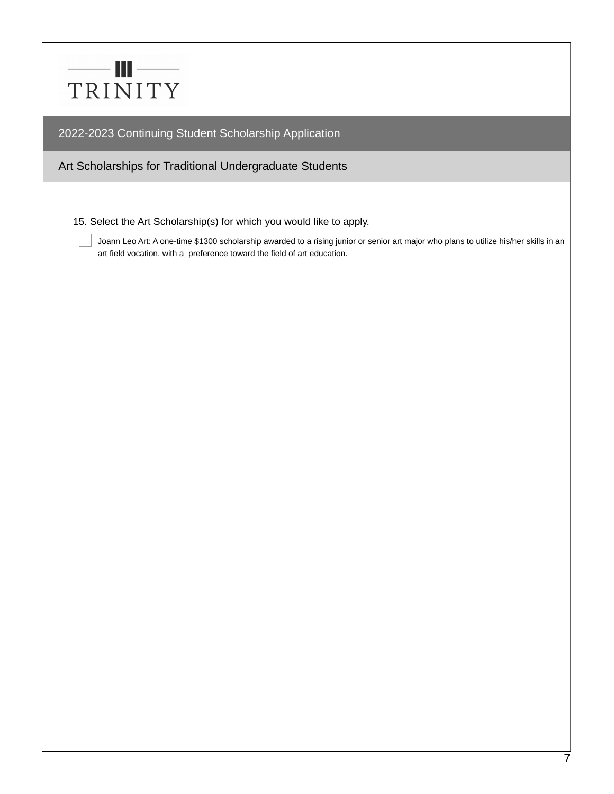

Art Scholarships for Traditional Undergraduate Students

15. Select the Art Scholarship(s) for which you would like to apply.

Joann Leo Art: A one-time \$1300 scholarship awarded to a rising junior or senior art major who plans to utilize his/her skills in an art field vocation, with a preference toward the field of art education.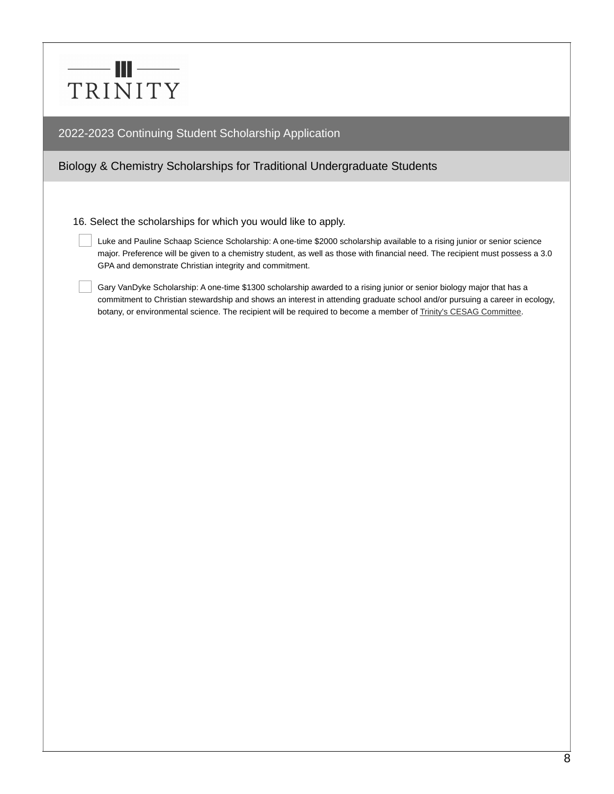# $-\blacksquare$ TRINITY

2022-2023 Continuing Student Scholarship Application

# Biology & Chemistry Scholarships for Traditional Undergraduate Students

16. Select the scholarships for which you would like to apply.

Luke and Pauline Schaap Science Scholarship: A one-time \$2000 scholarship available to a rising junior or senior science major. Preference will be given to a chemistry student, as well as those with financial need. The recipient must possess a 3.0 GPA and demonstrate Christian integrity and commitment.

Gary VanDyke Scholarship: A one-time \$1300 scholarship awarded to a rising junior or senior biology major that has a commitment to Christian stewardship and shows an interest in attending graduate school and/or pursuing a career in ecology, botany, or environmental science. The recipient will be required to become a member of Trinity's CESAG [Committee](https://www.trnty.edu/academic-program/physics/above-beyond/17742/).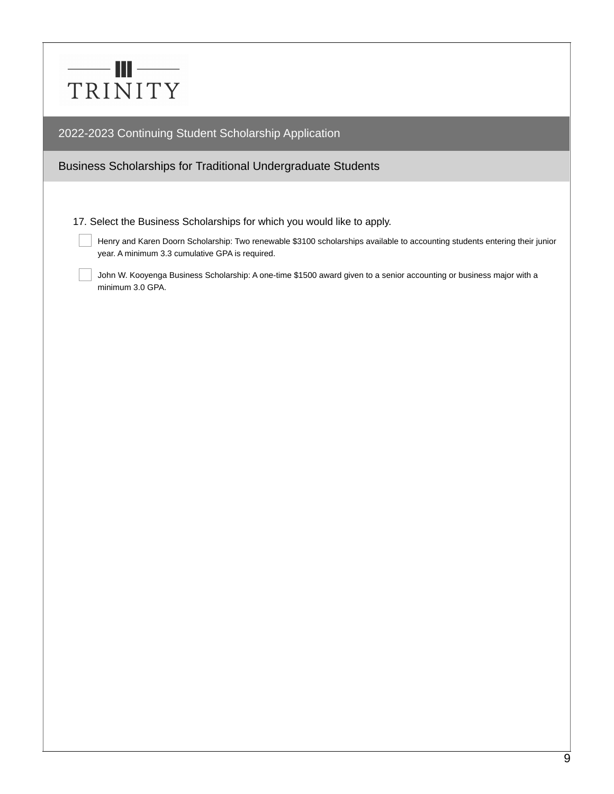|         | HH – |  |
|---------|------|--|
| TRINITY |      |  |

## Business Scholarships for Traditional Undergraduate Students

17. Select the Business Scholarships for which you would like to apply.

Henry and Karen Doorn Scholarship: Two renewable \$3100 scholarships available to accounting students entering their junior year. A minimum 3.3 cumulative GPA is required.

John W. Kooyenga Business Scholarship: A one-time \$1500 award given to a senior accounting or business major with a minimum 3.0 GPA.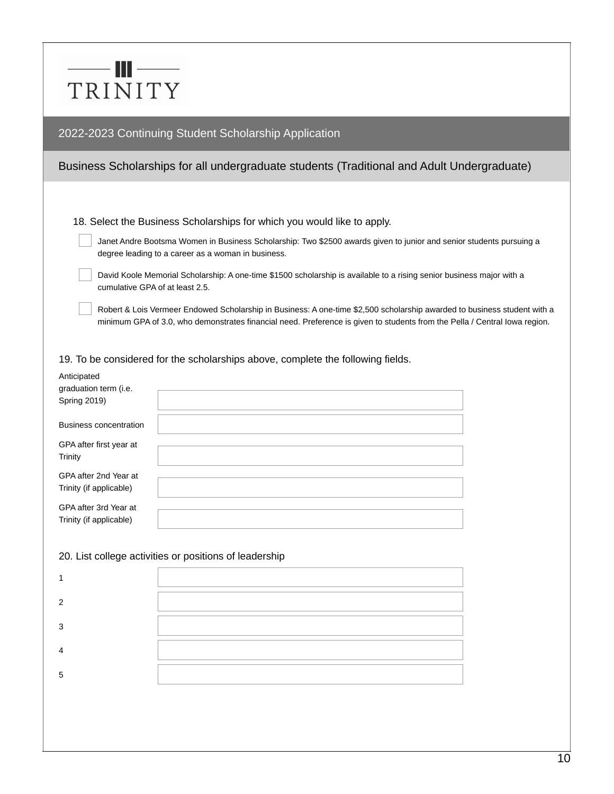# $-$  III $-$ TRINITY

### 2022-2023 Continuing Student Scholarship Application

# Business Scholarships for all undergraduate students (Traditional and Adult Undergraduate)

18. Select the Business Scholarships for which you would like to apply.

Janet Andre Bootsma Women in Business Scholarship: Two \$2500 awards given to junior and senior students pursuing a degree leading to a career as a woman in business.

David Koole Memorial Scholarship: A one-time \$1500 scholarship is available to a rising senior business major with a cumulative GPA of at least 2.5.

Robert & Lois Vermeer Endowed Scholarship in Business: A one-time \$2,500 scholarship awarded to business student with a minimum GPA of 3.0, who demonstrates financial need. Preference is given to students from the Pella / Central Iowa region.

19. To be considered for the scholarships above, complete the following fields.

| Anticipated<br>graduation term (i.e.             |  |
|--------------------------------------------------|--|
| <b>Spring 2019)</b>                              |  |
| <b>Business concentration</b>                    |  |
| GPA after first year at<br>Trinity               |  |
| GPA after 2nd Year at<br>Trinity (if applicable) |  |
| GPA after 3rd Year at<br>Trinity (if applicable) |  |

#### 20. List college activities or positions of leadership

| ി  |                                                                                  |
|----|----------------------------------------------------------------------------------|
| ີ  | ,我们也不会有什么。""我们的人,我们也不会有什么?""我们的人,我们也不会有什么?""我们的人,我们也不会有什么?""我们的人,我们也不会有什么?""我们的人 |
|    | ,我们也不会有什么?""我们的人,我们也不会有什么?""我们的人,我们也不会有什么?""我们的人,我们也不会有什么?""我们的人,我们也不会有什么?""我们的人 |
| г, |                                                                                  |
|    |                                                                                  |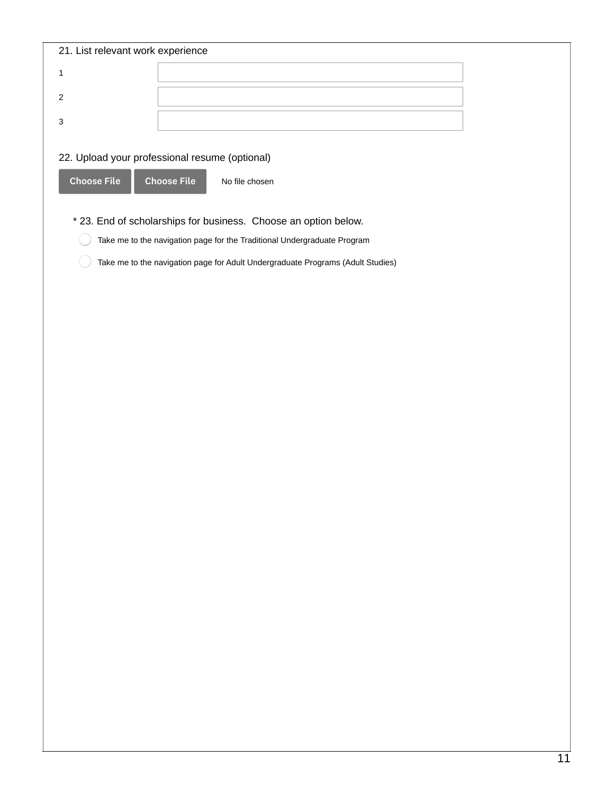| 21. List relevant work experience |                                                                                 |
|-----------------------------------|---------------------------------------------------------------------------------|
| $\mathbf 1$                       |                                                                                 |
| $\mathbf{2}$                      |                                                                                 |
| $\mathsf 3$                       |                                                                                 |
|                                   |                                                                                 |
|                                   | 22. Upload your professional resume (optional)                                  |
| <b>Choose File</b>                | <b>Choose File</b><br>No file chosen                                            |
|                                   | * 23. End of scholarships for business. Choose an option below.                 |
|                                   | Take me to the navigation page for the Traditional Undergraduate Program        |
|                                   | Take me to the navigation page for Adult Undergraduate Programs (Adult Studies) |
|                                   |                                                                                 |
|                                   |                                                                                 |
|                                   |                                                                                 |
|                                   |                                                                                 |
|                                   |                                                                                 |
|                                   |                                                                                 |
|                                   |                                                                                 |
|                                   |                                                                                 |
|                                   |                                                                                 |
|                                   |                                                                                 |
|                                   |                                                                                 |
|                                   |                                                                                 |
|                                   |                                                                                 |
|                                   |                                                                                 |
|                                   |                                                                                 |
|                                   |                                                                                 |
|                                   |                                                                                 |
|                                   |                                                                                 |
|                                   |                                                                                 |
|                                   |                                                                                 |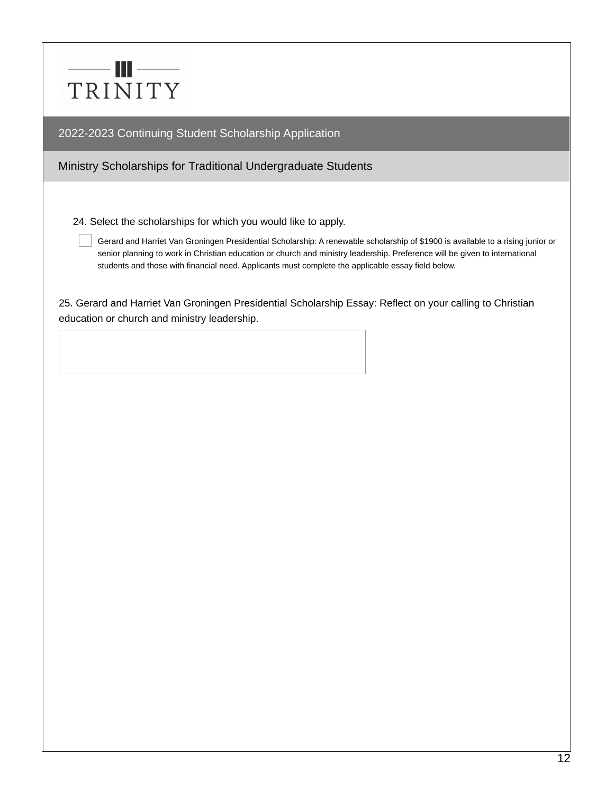

Ministry Scholarships for Traditional Undergraduate Students

24. Select the scholarships for which you would like to apply.

Gerard and Harriet Van Groningen Presidential Scholarship: A renewable scholarship of \$1900 is available to a rising junior or senior planning to work in Christian education or church and ministry leadership. Preference will be given to international students and those with financial need. Applicants must complete the applicable essay field below.

25. Gerard and Harriet Van Groningen Presidential Scholarship Essay: Reflect on your calling to Christian education or church and ministry leadership.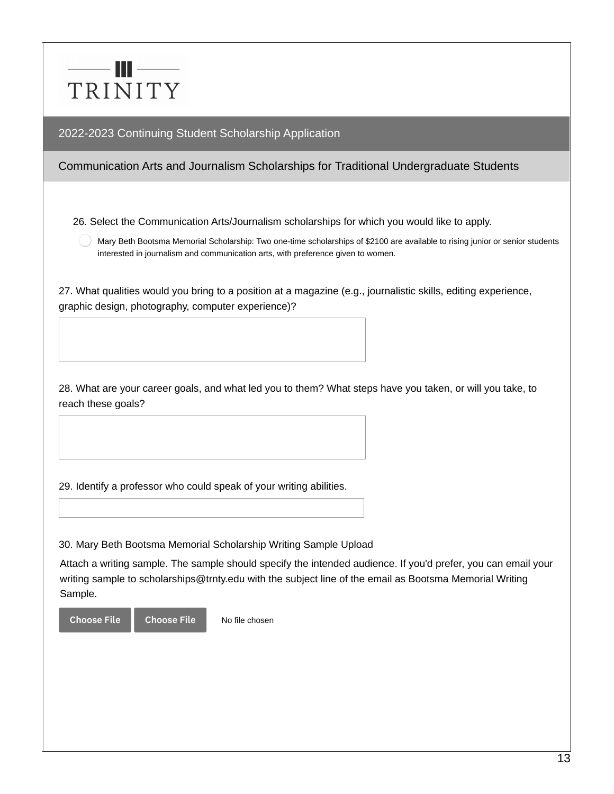

## Communication Arts and Journalism Scholarships for Traditional Undergraduate Students

26. Select the Communication Arts/Journalism scholarships for which you would like to apply.

Mary Beth Bootsma Memorial Scholarship: Two one-time scholarships of \$2100 are available to rising junior or senior students interested in journalism and communication arts, with preference given to women.

27. What qualities would you bring to a position at a magazine (e.g., journalistic skills, editing experience, graphic design, photography, computer experience)?

28. What are your career goals, and what led you to them? What steps have you taken, or will you take, to reach these goals?

29. Identify a professor who could speak of your writing abilities.

30. Mary Beth Bootsma Memorial Scholarship Writing Sample Upload

No file chosen

Attach a writing sample. The sample should specify the intended audience. If you'd prefer, you can email your writing sample to scholarships@trnty.edu with the subject line of the email as Bootsma Memorial Writing Sample.

Choose File Choose File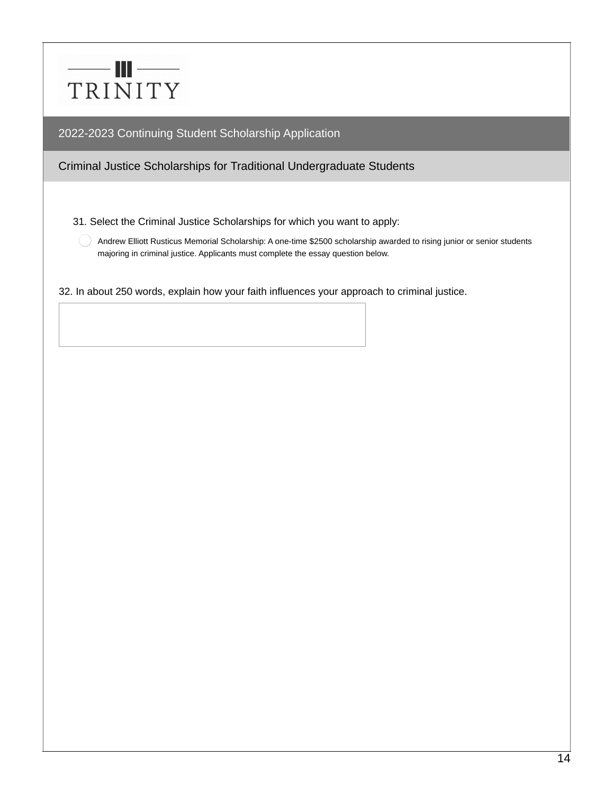

Criminal Justice Scholarships for Traditional Undergraduate Students

31. Select the Criminal Justice Scholarships for which you want to apply:

Andrew Elliott Rusticus Memorial Scholarship: A one-time \$2500 scholarship awarded to rising junior or senior students majoring in criminal justice. Applicants must complete the essay question below.

32. In about 250 words, explain how your faith influences your approach to criminal justice.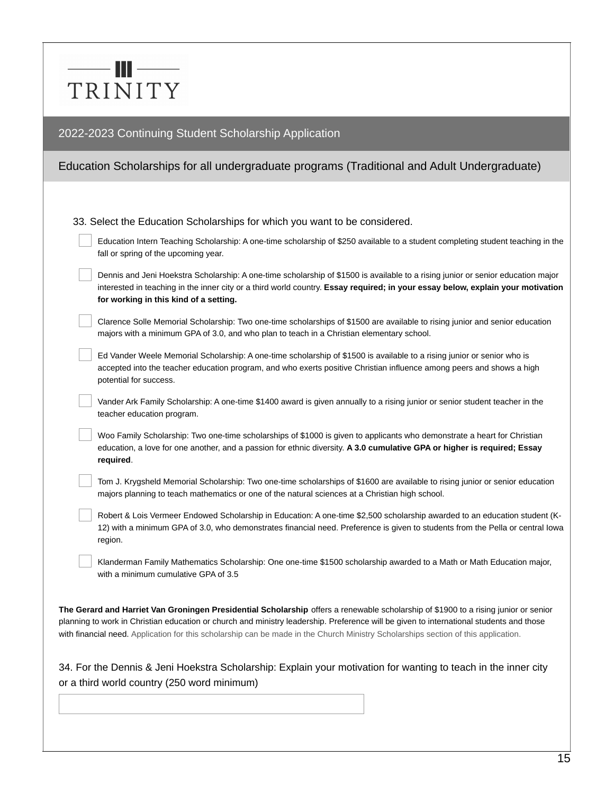# —— III —— TRINITY

## 2022-2023 Continuing Student Scholarship Application

# Education Scholarships for all undergraduate programs (Traditional and Adult Undergraduate)

|  |  |  | 33. Select the Education Scholarships for which you want to be considered. |
|--|--|--|----------------------------------------------------------------------------|

| Education Intern Teaching Scholarship: A one-time scholarship of \$250 available to a student completing student teaching in the |
|----------------------------------------------------------------------------------------------------------------------------------|
| fall or spring of the upcoming year.                                                                                             |

| Dennis and Jeni Hoekstra Scholarship: A one-time scholarship of \$1500 is available to a rising junior or senior education major |
|----------------------------------------------------------------------------------------------------------------------------------|
| interested in teaching in the inner city or a third world country. Essay required; in your essay below, explain your motivation  |
| for working in this kind of a setting.                                                                                           |

Clarence Solle Memorial Scholarship: Two one-time scholarships of \$1500 are available to rising junior and senior education majors with a minimum GPA of 3.0, and who plan to teach in a Christian elementary school.

Ed Vander Weele Memorial Scholarship: A one-time scholarship of \$1500 is available to a rising junior or senior who is accepted into the teacher education program, and who exerts positive Christian influence among peers and shows a high potential for success.

Vander Ark Family Scholarship: A one-time \$1400 award is given annually to a rising junior or senior student teacher in the teacher education program.

Woo Family Scholarship: Two one-time scholarships of \$1000 is given to applicants who demonstrate a heart for Christian education, a love for one another, and a passion for ethnic diversity. **A 3.0 cumulative GPA or higher is required; Essay required**.

Tom J. Krygsheld Memorial Scholarship: Two one-time scholarships of \$1600 are available to rising junior or senior education majors planning to teach mathematics or one of the natural sciences at a Christian high school.

Robert & Lois Vermeer Endowed Scholarship in Education: A one-time \$2,500 scholarship awarded to an education student (K-12) with a minimum GPA of 3.0, who demonstrates financial need. Preference is given to students from the Pella or central Iowa region.

Klanderman Family Mathematics Scholarship: One one-time \$1500 scholarship awarded to a Math or Math Education major, with a minimum cumulative GPA of 3.5

**The Gerard and Harriet Van Groningen Presidential Scholarship** offers a renewable scholarship of \$1900 to a rising junior or senior planning to work in Christian education or church and ministry leadership. Preference will be given to international students and those with financial need. Application for this scholarship can be made in the Church Ministry Scholarships section of this application.

34. For the Dennis & Jeni Hoekstra Scholarship: Explain your motivation for wanting to teach in the inner city or a third world country (250 word minimum)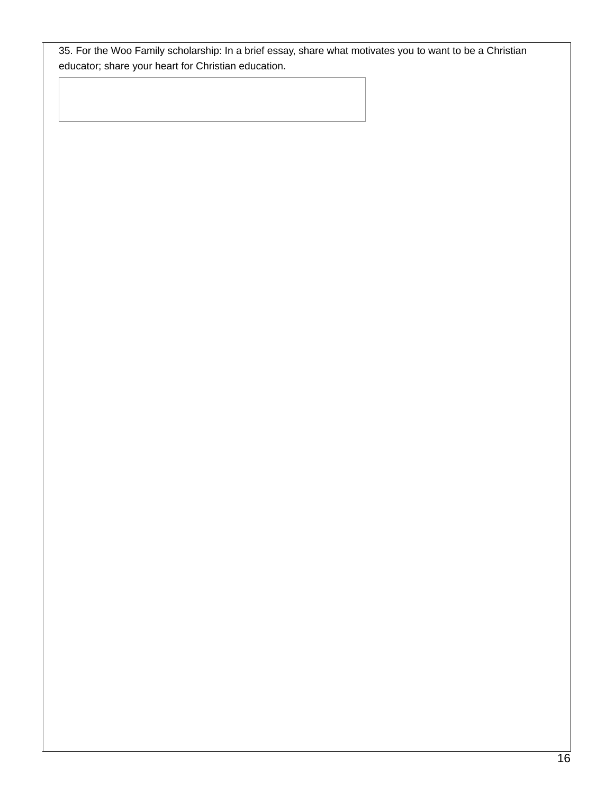35. For the Woo Family scholarship: In a brief essay, share what motivates you to want to be a Christian educator; share your heart for Christian education.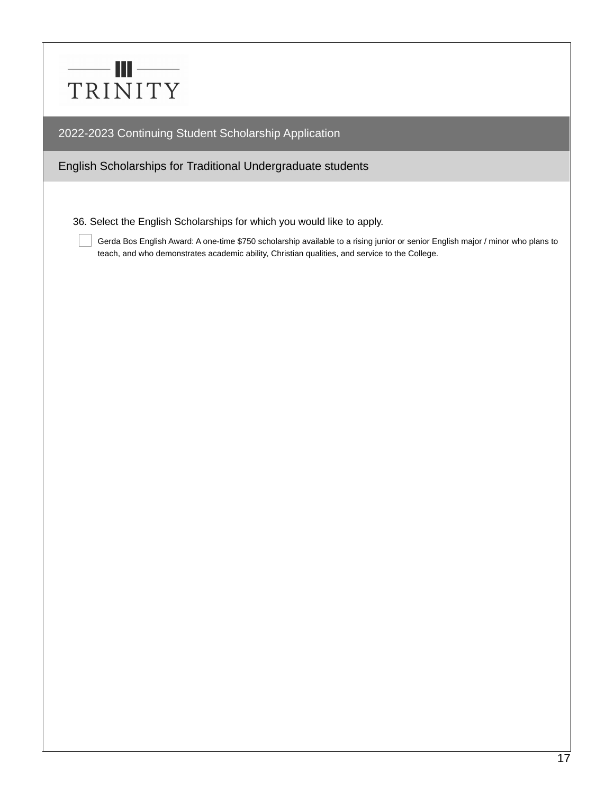

English Scholarships for Traditional Undergraduate students

36. Select the English Scholarships for which you would like to apply.

Gerda Bos English Award: A one-time \$750 scholarship available to a rising junior or senior English major / minor who plans to teach, and who demonstrates academic ability, Christian qualities, and service to the College.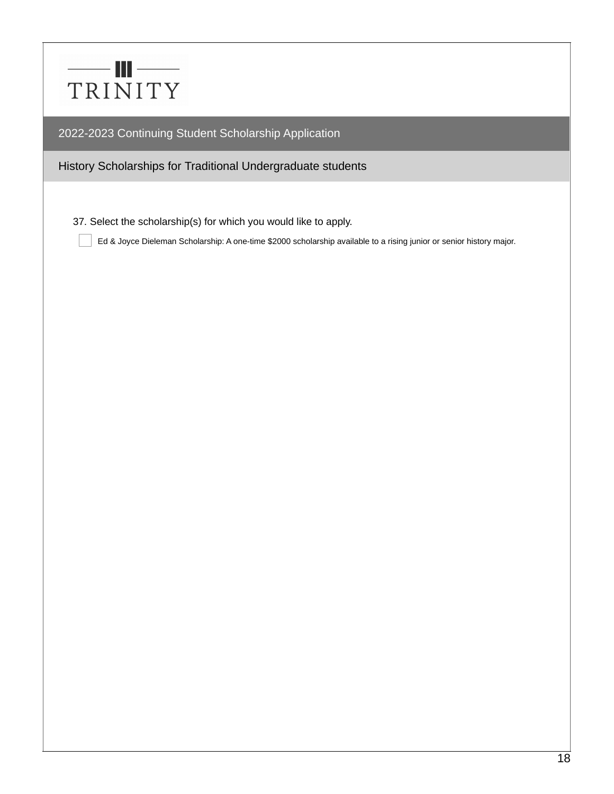

History Scholarships for Traditional Undergraduate students

37. Select the scholarship(s) for which you would like to apply.

Ed & Joyce Dieleman Scholarship: A one-time \$2000 scholarship available to a rising junior or senior history major.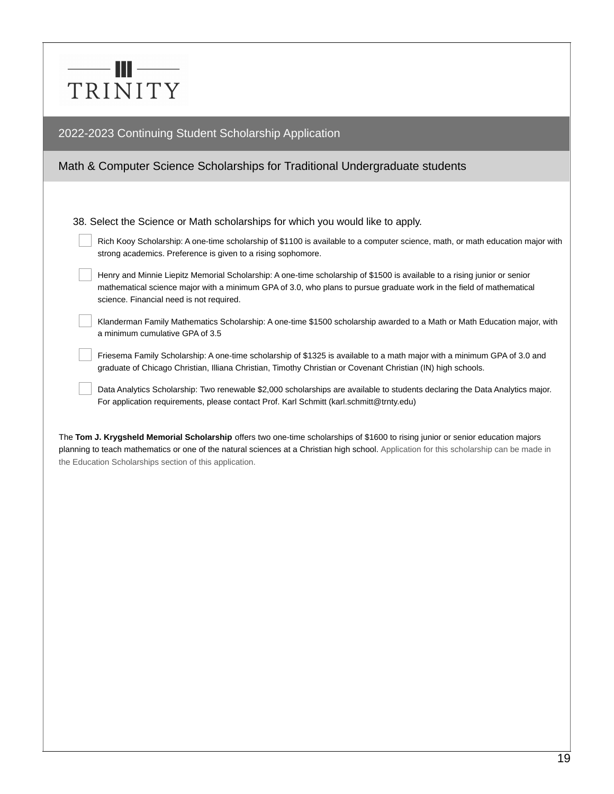# $-$  III  $-$ TRINITY

### 2022-2023 Continuing Student Scholarship Application

# Math & Computer Science Scholarships for Traditional Undergraduate students

38. Select the Science or Math scholarships for which you would like to apply.

| Rich Kooy Scholarship: A one-time scholarship of \$1100 is available to a computer science, math, or math education major with |
|--------------------------------------------------------------------------------------------------------------------------------|
| strong academics. Preference is given to a rising sophomore.                                                                   |

| Henry and Minnie Liepitz Memorial Scholarship: A one-time scholarship of \$1500 is available to a rising junior or senior |
|---------------------------------------------------------------------------------------------------------------------------|
| mathematical science major with a minimum GPA of 3.0, who plans to pursue graduate work in the field of mathematical      |
| science. Financial need is not required.                                                                                  |

Klanderman Family Mathematics Scholarship: A one-time \$1500 scholarship awarded to a Math or Math Education major, with a minimum cumulative GPA of 3.5

Friesema Family Scholarship: A one-time scholarship of \$1325 is available to a math major with a minimum GPA of 3.0 and graduate of Chicago Christian, Illiana Christian, Timothy Christian or Covenant Christian (IN) high schools.

Data Analytics Scholarship: Two renewable \$2,000 scholarships are available to students declaring the Data Analytics major. For application requirements, please contact Prof. Karl Schmitt (karl.schmitt@trnty.edu)

The **Tom J. Krygsheld Memorial Scholarship** offers two one-time scholarships of \$1600 to rising junior or senior education majors planning to teach mathematics or one of the natural sciences at a Christian high school. Application for this scholarship can be made in the Education Scholarships section of this application.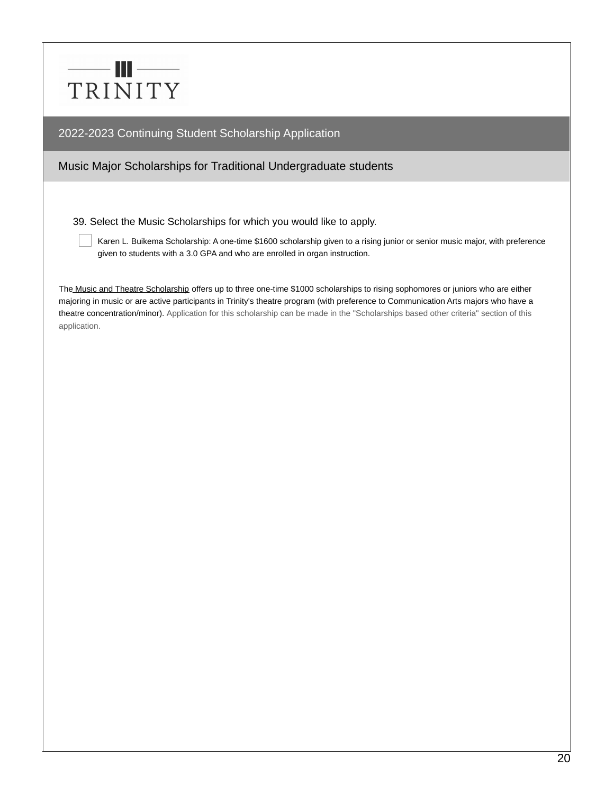

### Music Major Scholarships for Traditional Undergraduate students

39. Select the Music Scholarships for which you would like to apply.

Karen L. Buikema Scholarship: A one-time \$1600 scholarship given to a rising junior or senior music major, with preference given to students with a 3.0 GPA and who are enrolled in organ instruction.

The Music and Theatre Scholarship offers up to three one-time \$1000 scholarships to rising sophomores or juniors who are either majoring in music or are active participants in Trinity's theatre program (with preference to Communication Arts majors who have a theatre concentration/minor). Application for this scholarship can be made in the "Scholarships based other criteria" section of this application.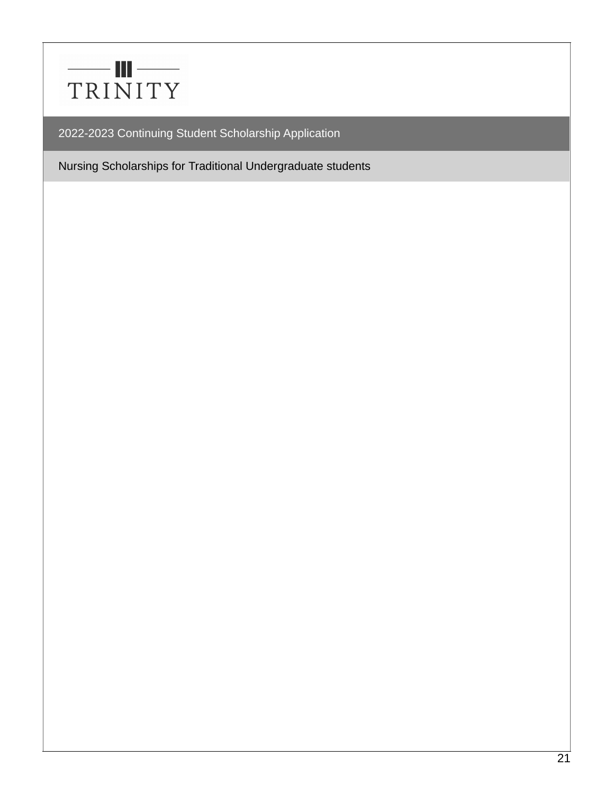

Nursing Scholarships for Traditional Undergraduate students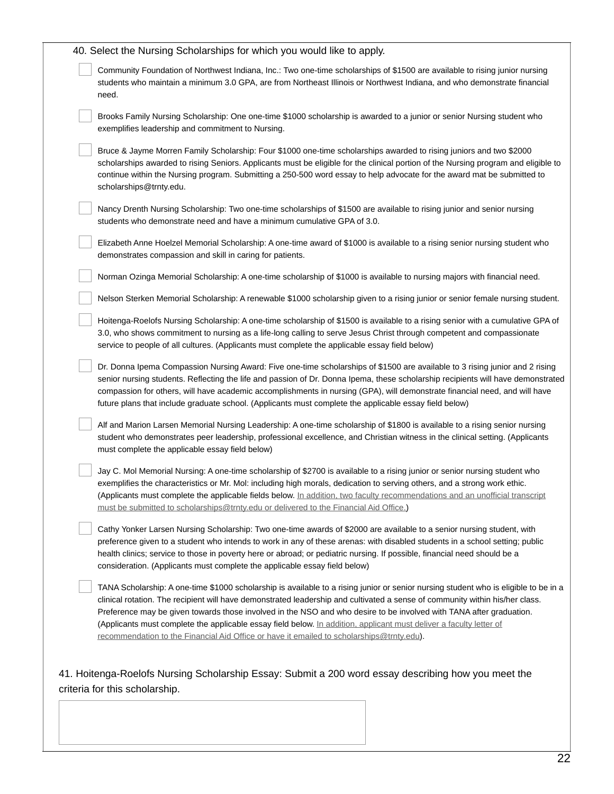| Community Foundation of Northwest Indiana, Inc.: Two one-time scholarships of \$1500 are available to rising junior nursing<br>students who maintain a minimum 3.0 GPA, are from Northeast Illinois or Northwest Indiana, and who demonstrate financial<br>need.                                                                                                                                                                                                                                                                                                                                                |
|-----------------------------------------------------------------------------------------------------------------------------------------------------------------------------------------------------------------------------------------------------------------------------------------------------------------------------------------------------------------------------------------------------------------------------------------------------------------------------------------------------------------------------------------------------------------------------------------------------------------|
| Brooks Family Nursing Scholarship: One one-time \$1000 scholarship is awarded to a junior or senior Nursing student who<br>exemplifies leadership and commitment to Nursing.                                                                                                                                                                                                                                                                                                                                                                                                                                    |
| Bruce & Jayme Morren Family Scholarship: Four \$1000 one-time scholarships awarded to rising juniors and two \$2000<br>scholarships awarded to rising Seniors. Applicants must be eligible for the clinical portion of the Nursing program and eligible to<br>continue within the Nursing program. Submitting a 250-500 word essay to help advocate for the award mat be submitted to<br>scholarships@trnty.edu.                                                                                                                                                                                                |
| Nancy Drenth Nursing Scholarship: Two one-time scholarships of \$1500 are available to rising junior and senior nursing<br>students who demonstrate need and have a minimum cumulative GPA of 3.0.                                                                                                                                                                                                                                                                                                                                                                                                              |
| Elizabeth Anne Hoelzel Memorial Scholarship: A one-time award of \$1000 is available to a rising senior nursing student who<br>demonstrates compassion and skill in caring for patients.                                                                                                                                                                                                                                                                                                                                                                                                                        |
| Norman Ozinga Memorial Scholarship: A one-time scholarship of \$1000 is available to nursing majors with financial need.                                                                                                                                                                                                                                                                                                                                                                                                                                                                                        |
| Nelson Sterken Memorial Scholarship: A renewable \$1000 scholarship given to a rising junior or senior female nursing student.                                                                                                                                                                                                                                                                                                                                                                                                                                                                                  |
| Hoitenga-Roelofs Nursing Scholarship: A one-time scholarship of \$1500 is available to a rising senior with a cumulative GPA of<br>3.0, who shows commitment to nursing as a life-long calling to serve Jesus Christ through competent and compassionate<br>service to people of all cultures. (Applicants must complete the applicable essay field below)                                                                                                                                                                                                                                                      |
| Dr. Donna Ipema Compassion Nursing Award: Five one-time scholarships of \$1500 are available to 3 rising junior and 2 rising<br>senior nursing students. Reflecting the life and passion of Dr. Donna Ipema, these scholarship recipients will have demonstrated<br>compassion for others, will have academic accomplishments in nursing (GPA), will demonstrate financial need, and will have<br>future plans that include graduate school. (Applicants must complete the applicable essay field below)                                                                                                        |
| Alf and Marion Larsen Memorial Nursing Leadership: A one-time scholarship of \$1800 is available to a rising senior nursing<br>student who demonstrates peer leadership, professional excellence, and Christian witness in the clinical setting. (Applicants<br>must complete the applicable essay field below)                                                                                                                                                                                                                                                                                                 |
| Jay C. Mol Memorial Nursing: A one-time scholarship of \$2700 is available to a rising junior or senior nursing student who<br>exemplifies the characteristics or Mr. Mol: including high morals, dedication to serving others, and a strong work ethic.<br>(Applicants must complete the applicable fields below. In addition, two faculty recommendations and an unofficial transcript<br>must be submitted to scholarships@trnty.edu or delivered to the Financial Aid Office.)                                                                                                                              |
| Cathy Yonker Larsen Nursing Scholarship: Two one-time awards of \$2000 are available to a senior nursing student, with<br>preference given to a student who intends to work in any of these arenas: with disabled students in a school setting; public<br>health clinics; service to those in poverty here or abroad; or pediatric nursing. If possible, financial need should be a<br>consideration. (Applicants must complete the applicable essay field below)                                                                                                                                               |
| TANA Scholarship: A one-time \$1000 scholarship is available to a rising junior or senior nursing student who is eligible to be in a<br>clinical rotation. The recipient will have demonstrated leadership and cultivated a sense of community within his/her class.<br>Preference may be given towards those involved in the NSO and who desire to be involved with TANA after graduation.<br>(Applicants must complete the applicable essay field below. In addition, applicant must deliver a faculty letter of<br>recommendation to the Financial Aid Office or have it emailed to scholarships@trnty.edu). |

 $\overline{22}$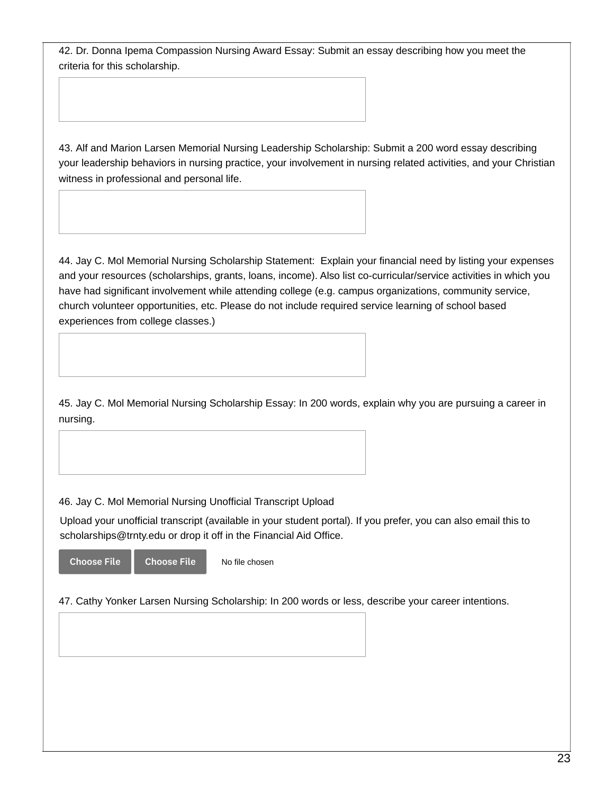42. Dr. Donna Ipema Compassion Nursing Award Essay: Submit an essay describing how you meet the criteria for this scholarship.

43. Alf and Marion Larsen Memorial Nursing Leadership Scholarship: Submit a 200 word essay describing your leadership behaviors in nursing practice, your involvement in nursing related activities, and your Christian witness in professional and personal life.

44. Jay C. Mol Memorial Nursing Scholarship Statement: Explain your financial need by listing your expenses and your resources (scholarships, grants, loans, income). Also list co-curricular/service activities in which you have had significant involvement while attending college (e.g. campus organizations, community service, church volunteer opportunities, etc. Please do not include required service learning of school based experiences from college classes.)

45. Jay C. Mol Memorial Nursing Scholarship Essay: In 200 words, explain why you are pursuing a career in nursing.

46. Jay C. Mol Memorial Nursing Unofficial Transcript Upload

Upload your unofficial transcript (available in your student portal). If you prefer, you can also email this to scholarships@trnty.edu or drop it off in the Financial Aid Office.

Choose File Choose File

No file chosen

47. Cathy Yonker Larsen Nursing Scholarship: In 200 words or less, describe your career intentions.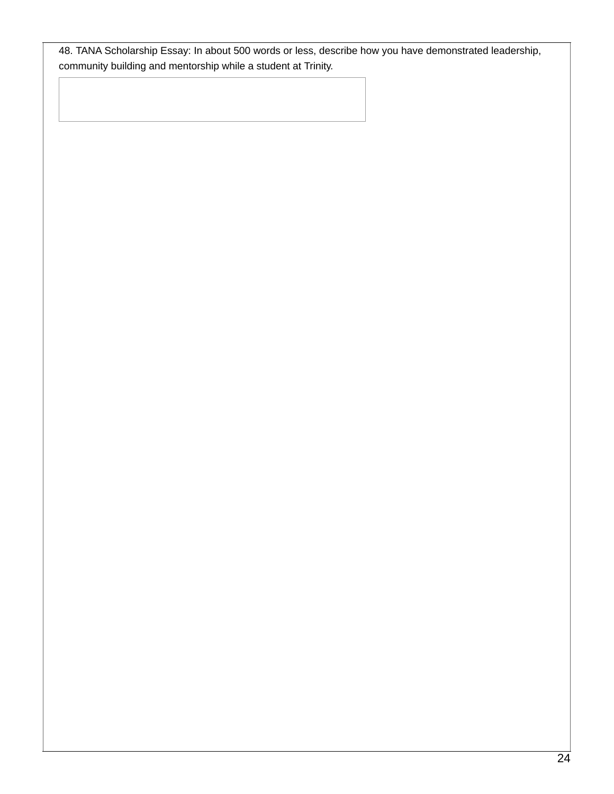48. TANA Scholarship Essay: In about 500 words or less, describe how you have demonstrated leadership, community building and mentorship while a student at Trinity.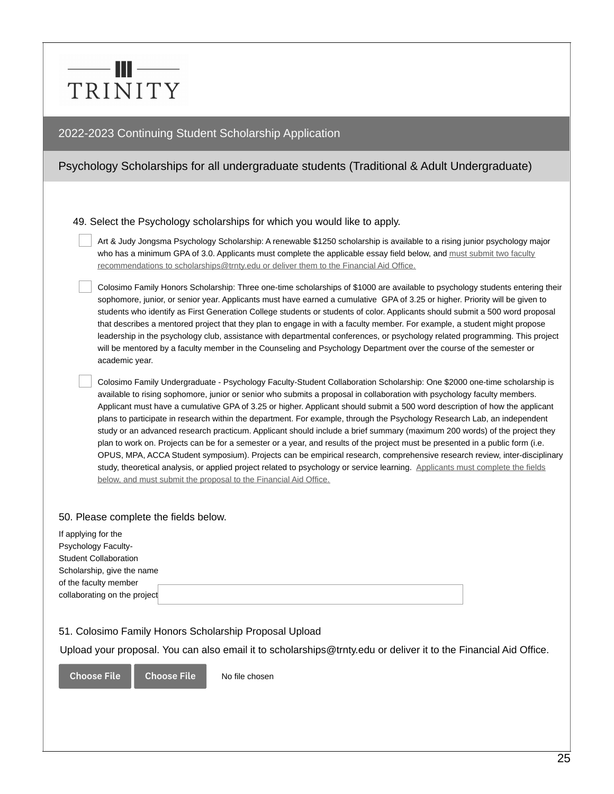# — III — TRINITY

### 2022-2023 Continuing Student Scholarship Application

# Psychology Scholarships for all undergraduate students (Traditional & Adult Undergraduate)

49. Select the Psychology scholarships for which you would like to apply.

Art & Judy Jongsma Psychology Scholarship: A renewable \$1250 scholarship is available to a rising junior psychology major who has a minimum GPA of 3.0. Applicants must complete the applicable essay field below, and must submit two faculty recommendations to scholarships@trnty.edu or deliver them to the Financial Aid Office.

Colosimo Family Honors Scholarship: Three one-time scholarships of \$1000 are available to psychology students entering their sophomore, junior, or senior year. Applicants must have earned a cumulative GPA of 3.25 or higher. Priority will be given to students who identify as First Generation College students or students of color. Applicants should submit a 500 word proposal that describes a mentored project that they plan to engage in with a faculty member. For example, a student might propose leadership in the psychology club, assistance with departmental conferences, or psychology related programming. This project will be mentored by a faculty member in the Counseling and Psychology Department over the course of the semester or academic year.

Colosimo Family Undergraduate - Psychology Faculty-Student Collaboration Scholarship: One \$2000 one-time scholarship is available to rising sophomore, junior or senior who submits a proposal in collaboration with psychology faculty members. Applicant must have a cumulative GPA of 3.25 or higher. Applicant should submit a 500 word description of how the applicant plans to participate in research within the department. For example, through the Psychology Research Lab, an independent study or an advanced research practicum. Applicant should include a brief summary (maximum 200 words) of the project they plan to work on. Projects can be for a semester or a year, and results of the project must be presented in a public form (i.e. OPUS, MPA, ACCA Student symposium). Projects can be empirical research, comprehensive research review, inter-disciplinary study, theoretical analysis, or applied project related to psychology or service learning. Applicants must complete the fields below, and must submit the proposal to the Financial Aid Office.

#### 50. Please complete the fields below.

| If applying for the          |  |
|------------------------------|--|
| <b>Psychology Faculty-</b>   |  |
| <b>Student Collaboration</b> |  |
| Scholarship, give the name   |  |
| of the faculty member        |  |
|                              |  |
| collaborating on the project |  |

#### 51. Colosimo Family Honors Scholarship Proposal Upload

Upload your proposal. You can also email it to scholarships@trnty.edu or deliver it to the Financial Aid Office.

Choose File Choose File

No file chosen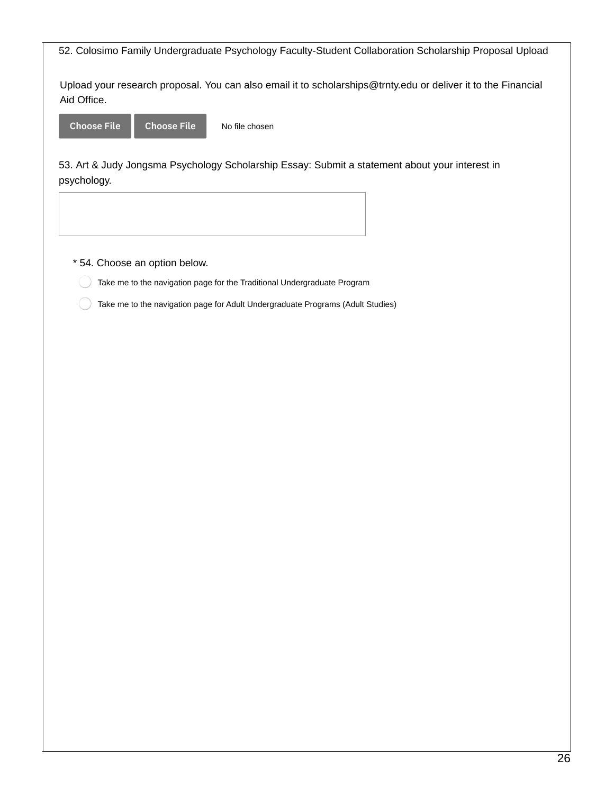52. Colosimo Family Undergraduate Psychology Faculty-Student Collaboration Scholarship Proposal Upload

Upload your research proposal. You can also email it to scholarships@trnty.edu or deliver it to the Financial Aid Office.

Choose File Choose File

No file chosen

53. Art & Judy Jongsma Psychology Scholarship Essay: Submit a statement about your interest in psychology.

- \* 54. Choose an option below.
	- Take me to the navigation page for the Traditional Undergraduate Program
	- Take me to the navigation page for Adult Undergraduate Programs (Adult Studies)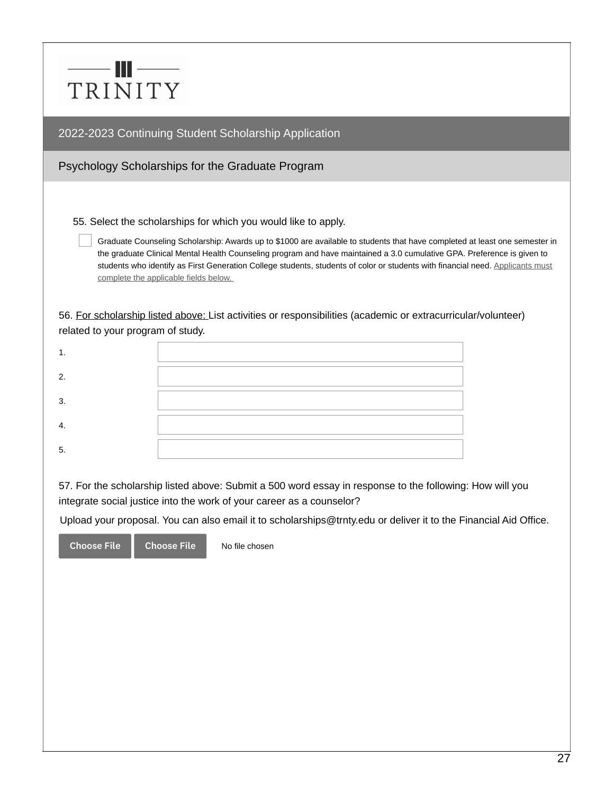|         | W |  |  |
|---------|---|--|--|
| TRINITY |   |  |  |

Psychology Scholarships for the Graduate Program

55. Select the scholarships for which you would like to apply.

Graduate Counseling Scholarship: Awards up to \$1000 are available to students that have completed at least one semester in the graduate Clinical Mental Health Counseling program and have maintained a 3.0 cumulative GPA. Preference is given to students who identify as First Generation College students, students of color or students with financial need. Applicants must complete the applicable fields below.

56. For scholarship listed above: List activities or responsibilities (academic or extracurricular/volunteer) related to your program of study.

| ົ          |  |
|------------|--|
| 3.         |  |
| $\sqrt{ }$ |  |
| 5.         |  |

57. For the scholarship listed above: Submit a 500 word essay in response to the following: How will you integrate social justice into the work of your career as a counselor?

Upload your proposal. You can also email it to scholarships@trnty.edu or deliver it to the Financial Aid Office.

Choose File Choose File

No file chosen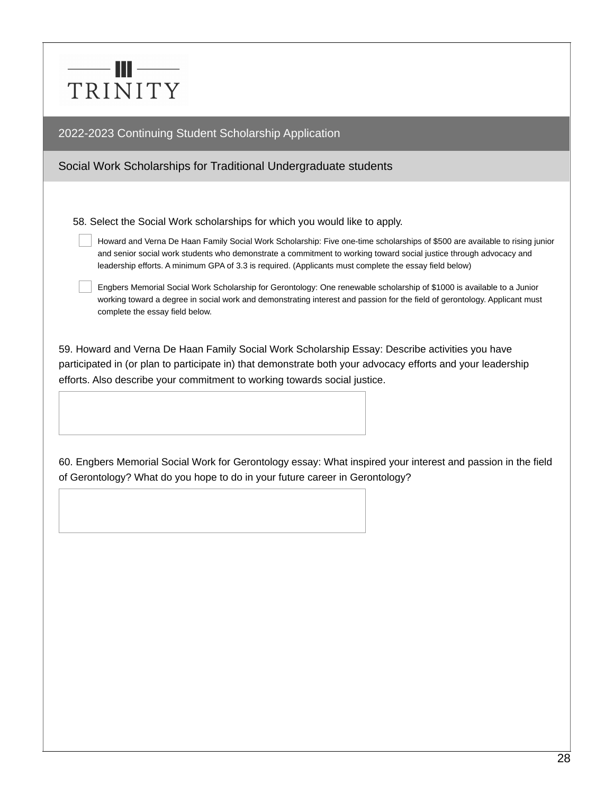# $\frac{1}{\| \mathbf{u} \|_2} = \frac{1}{\| \mathbf{u} \|_2} = \frac{1}{\| \mathbf{u} \|_2} = \frac{1}{\| \mathbf{u} \|_2} = \frac{1}{\| \mathbf{u} \|_2} = \frac{1}{\| \mathbf{u} \|_2} = \frac{1}{\| \mathbf{u} \|_2} = \frac{1}{\| \mathbf{u} \|_2} = \frac{1}{\| \mathbf{u} \|_2} = \frac{1}{\| \mathbf{u} \|_2} = \frac{1}{\| \mathbf{u} \|_2} = \frac{1}{\| \mathbf{u} \|_2} = \frac{1$ TRINITY

2022-2023 Continuing Student Scholarship Application

# Social Work Scholarships for Traditional Undergraduate students

58. Select the Social Work scholarships for which you would like to apply.

Howard and Verna De Haan Family Social Work Scholarship: Five one-time scholarships of \$500 are available to rising junior and senior social work students who demonstrate a commitment to working toward social justice through advocacy and leadership efforts. A minimum GPA of 3.3 is required. (Applicants must complete the essay field below)

Engbers Memorial Social Work Scholarship for Gerontology: One renewable scholarship of \$1000 is available to a Junior working toward a degree in social work and demonstrating interest and passion for the field of gerontology. Applicant must complete the essay field below.

59. Howard and Verna De Haan Family Social Work Scholarship Essay: Describe activities you have participated in (or plan to participate in) that demonstrate both your advocacy efforts and your leadership efforts. Also describe your commitment to working towards social justice.

60. Engbers Memorial Social Work for Gerontology essay: What inspired your interest and passion in the field of Gerontology? What do you hope to do in your future career in Gerontology?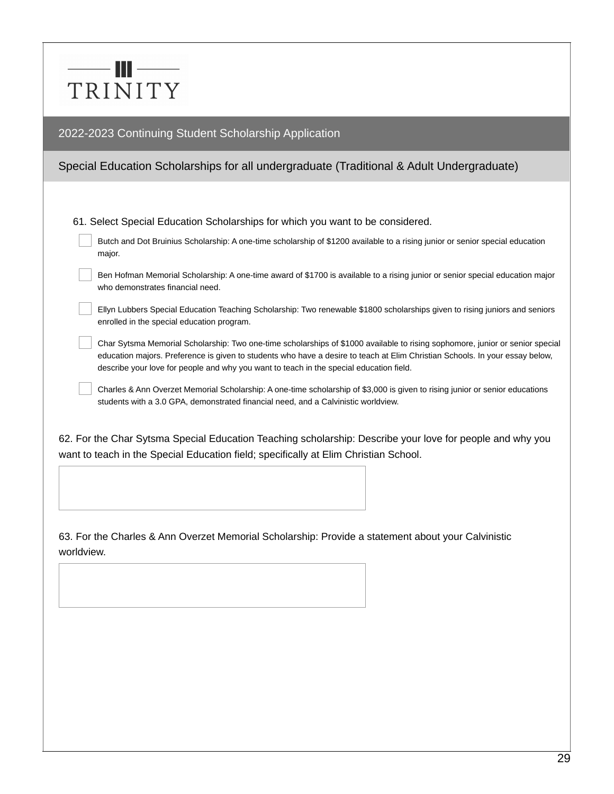

## Special Education Scholarships for all undergraduate (Traditional & Adult Undergraduate)

61. Select Special Education Scholarships for which you want to be considered.

| Butch and Dot Bruinius Scholarship: A one-time scholarship of \$1200 available to a rising junior or senior special education |  |
|-------------------------------------------------------------------------------------------------------------------------------|--|
| major.                                                                                                                        |  |

Ben Hofman Memorial Scholarship: A one-time award of \$1700 is available to a rising junior or senior special education major who demonstrates financial need.

Ellyn Lubbers Special Education Teaching Scholarship: Two renewable \$1800 scholarships given to rising juniors and seniors enrolled in the special education program.

Char Sytsma Memorial Scholarship: Two one-time scholarships of \$1000 available to rising sophomore, junior or senior special education majors. Preference is given to students who have a desire to teach at Elim Christian Schools. In your essay below, describe your love for people and why you want to teach in the special education field.

Charles & Ann Overzet Memorial Scholarship: A one-time scholarship of \$3,000 is given to rising junior or senior educations students with a 3.0 GPA, demonstrated financial need, and a Calvinistic worldview.

62. For the Char Sytsma Special Education Teaching scholarship: Describe your love for people and why you want to teach in the Special Education field; specifically at Elim Christian School.

63. For the Charles & Ann Overzet Memorial Scholarship: Provide a statement about your Calvinistic worldview.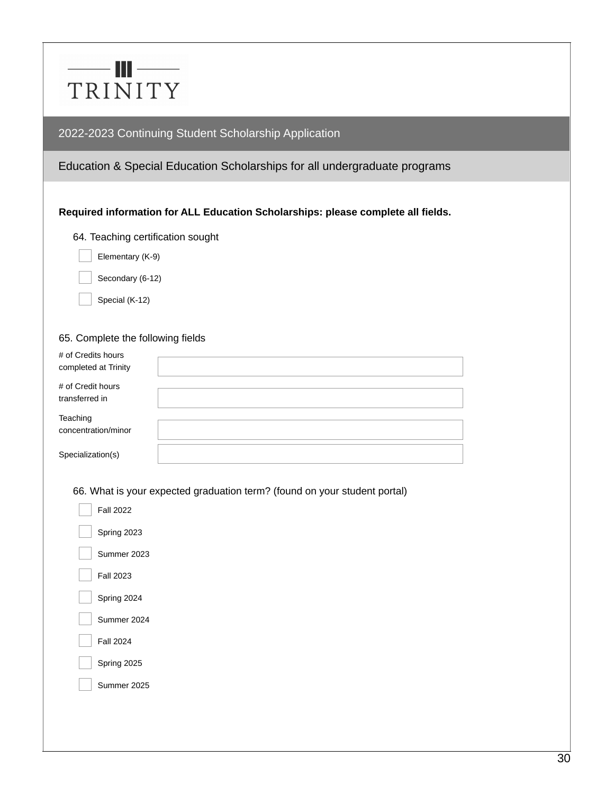

## Education & Special Education Scholarships for all undergraduate programs

### **Required information for ALL Education Scholarships: please complete all fields.**

#### 64. Teaching certification sought

- Elementary (K-9)
- Secondary (6-12)
- Special (K-12)

#### 65. Complete the following fields

| # of Credits hours<br>completed at Trinity |  |
|--------------------------------------------|--|
| # of Credit hours<br>transferred in        |  |
| Teaching<br>concentration/minor            |  |
| Specialization(s)                          |  |
|                                            |  |

66. What is your expected graduation term? (found on your student portal)

| Fall 2022        |
|------------------|
| Spring 2023      |
| Summer 2023      |
| <b>Fall 2023</b> |
| Spring 2024      |
| Summer 2024      |
| <b>Fall 2024</b> |
| Spring 2025      |
| Summer 2025      |
|                  |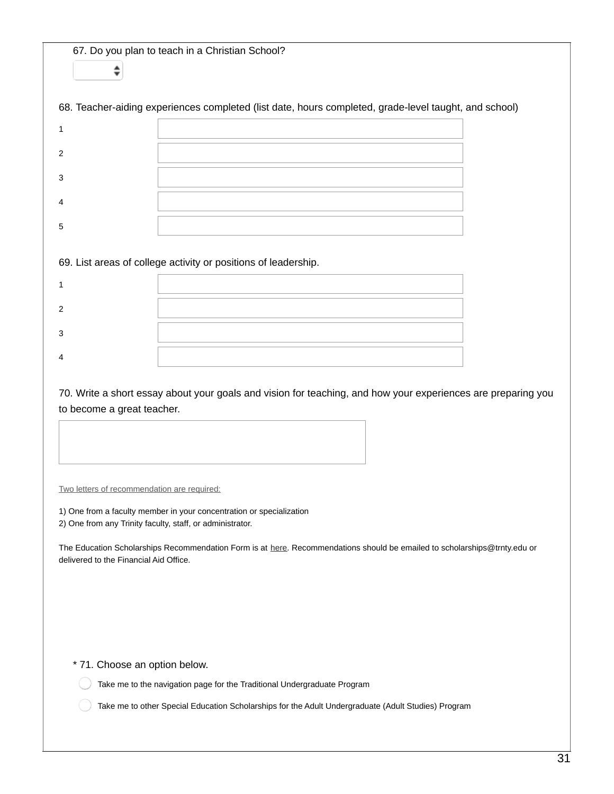67. Do you plan to teach in a Christian School?  $\hat{\mathbf{z}}$ 

68. Teacher-aiding experiences completed (list date, hours completed, grade-level taught, and school)

| ◠ |  |
|---|--|
| n |  |
|   |  |
|   |  |

69. List areas of college activity or positions of leadership.

70. Write a short essay about your goals and vision for teaching, and how your experiences are preparing you to become a great teacher.

Two letters of recommendation are required:

1) One from a faculty member in your concentration or specialization 2) One from any Trinity faculty, staff, or administrator.

The Education Scholarships Recommendation Form is at [here](https://www.trnty.edu/admissions-financial-aid/financial-aid-resources/). Recommendations should be emailed to scholarships@trnty.edu or delivered to the Financial Aid Office.

\* 71. Choose an option below.

Take me to the navigation page for the Traditional Undergraduate Program

Take me to other Special Education Scholarships for the Adult Undergraduate (Adult Studies) Program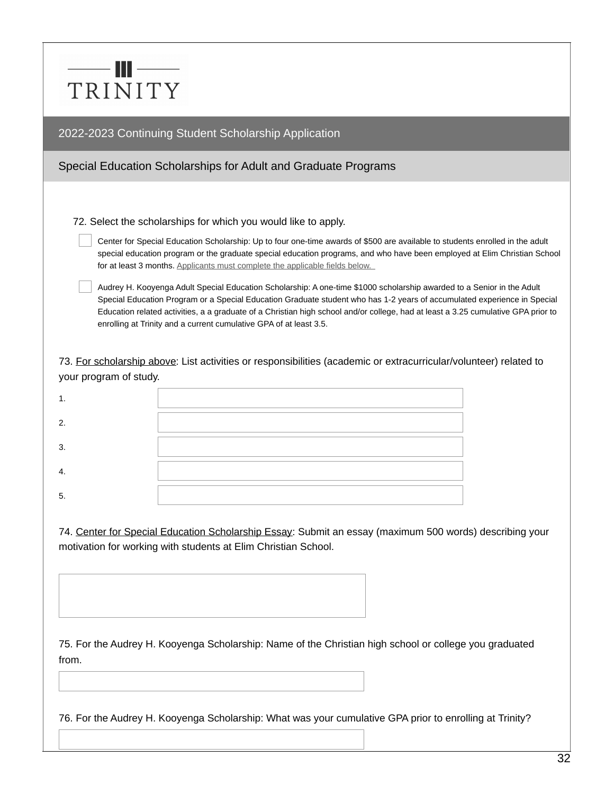|         | Ш |  |  |
|---------|---|--|--|
| TRINITY |   |  |  |

### Special Education Scholarships for Adult and Graduate Programs

72. Select the scholarships for which you would like to apply.

Center for Special Education Scholarship: Up to four one-time awards of \$500 are available to students enrolled in the adult special education program or the graduate special education programs, and who have been employed at Elim Christian School for at least 3 months. Applicants must complete the applicable fields below.

Audrey H. Kooyenga Adult Special Education Scholarship: A one-time \$1000 scholarship awarded to a Senior in the Adult Special Education Program or a Special Education Graduate student who has 1-2 years of accumulated experience in Special Education related activities, a a graduate of a Christian high school and/or college, had at least a 3.25 cumulative GPA prior to enrolling at Trinity and a current cumulative GPA of at least 3.5.

73. For scholarship above: List activities or responsibilities (academic or extracurricular/volunteer) related to your program of study.

| ົ  |  |
|----|--|
| 3. |  |
|    |  |
| 5. |  |

74. Center for Special Education Scholarship Essay: Submit an essay (maximum 500 words) describing your motivation for working with students at Elim Christian School.

75. For the Audrey H. Kooyenga Scholarship: Name of the Christian high school or college you graduated from.

76. For the Audrey H. Kooyenga Scholarship: What was your cumulative GPA prior to enrolling at Trinity?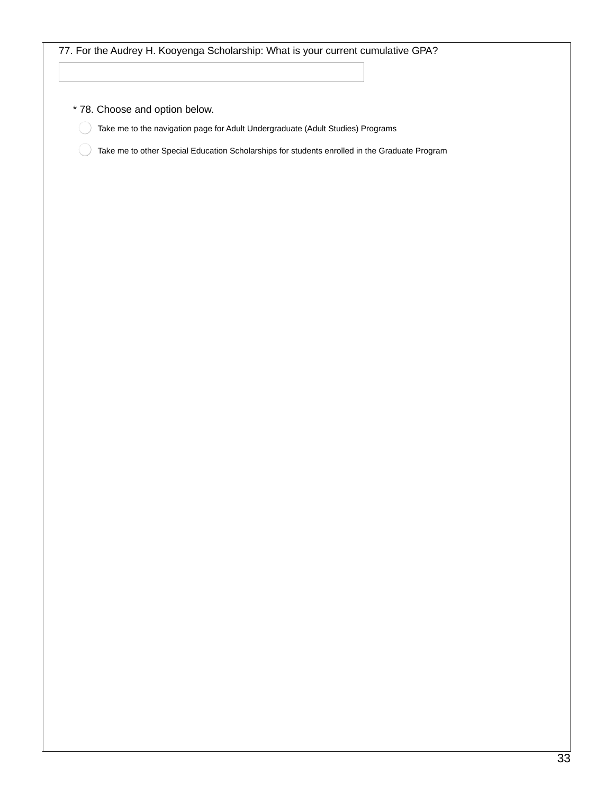| 77. For the Audrey H. Kooyenga Scholarship: What is your current cumulative GPA?              |
|-----------------------------------------------------------------------------------------------|
|                                                                                               |
|                                                                                               |
| * 78. Choose and option below.                                                                |
| Take me to the navigation page for Adult Undergraduate (Adult Studies) Programs               |
| Take me to other Special Education Scholarships for students enrolled in the Graduate Program |
|                                                                                               |
|                                                                                               |
|                                                                                               |
|                                                                                               |
|                                                                                               |
|                                                                                               |
|                                                                                               |
|                                                                                               |
|                                                                                               |
|                                                                                               |
|                                                                                               |
|                                                                                               |
|                                                                                               |
|                                                                                               |
|                                                                                               |
|                                                                                               |
|                                                                                               |
|                                                                                               |
|                                                                                               |
|                                                                                               |
|                                                                                               |
|                                                                                               |
|                                                                                               |
|                                                                                               |
|                                                                                               |
|                                                                                               |
|                                                                                               |
|                                                                                               |
|                                                                                               |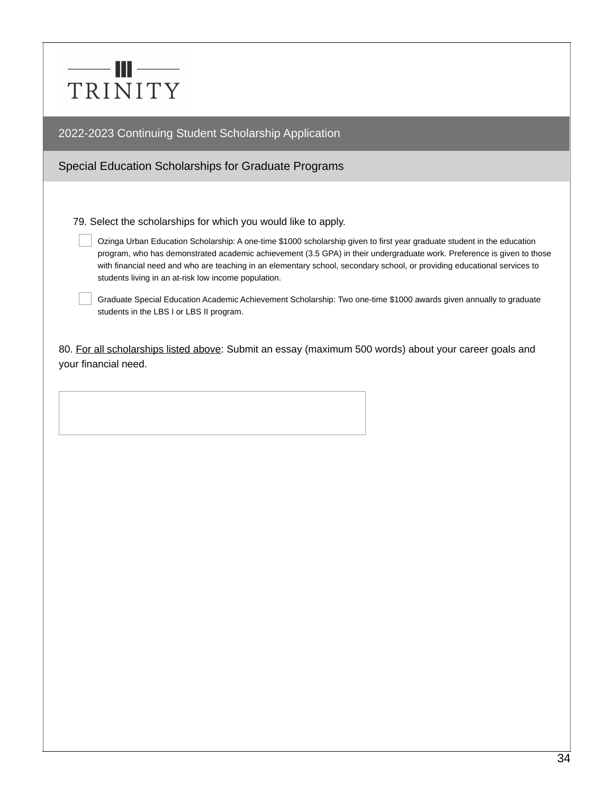

Special Education Scholarships for Graduate Programs

79. Select the scholarships for which you would like to apply.

Ozinga Urban Education Scholarship: A one-time \$1000 scholarship given to first year graduate student in the education program, who has demonstrated academic achievement (3.5 GPA) in their undergraduate work. Preference is given to those with financial need and who are teaching in an elementary school, secondary school, or providing educational services to students living in an at-risk low income population.

Graduate Special Education Academic Achievement Scholarship: Two one-time \$1000 awards given annually to graduate students in the LBS I or LBS II program.

80. For all scholarships listed above: Submit an essay (maximum 500 words) about your career goals and your financial need.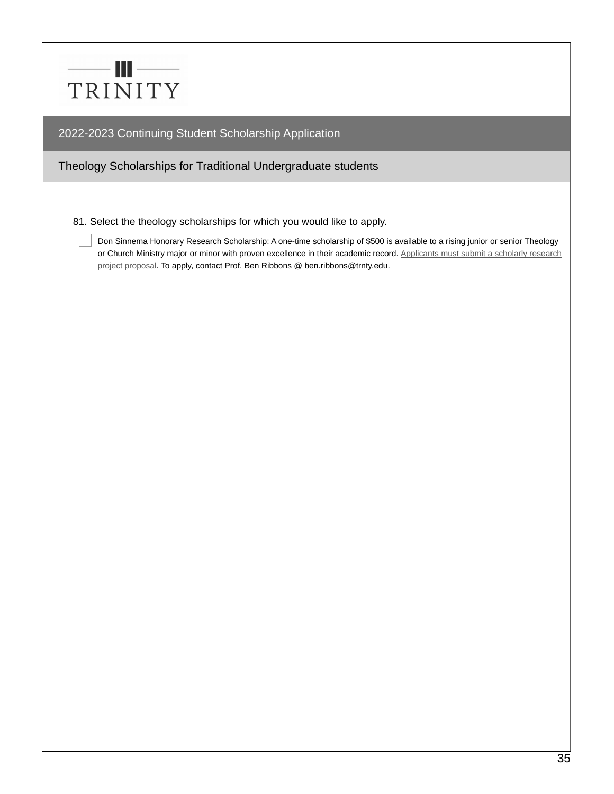

Theology Scholarships for Traditional Undergraduate students

81. Select the theology scholarships for which you would like to apply.

Don Sinnema Honorary Research Scholarship: A one-time scholarship of \$500 is available to a rising junior or senior Theology or Church Ministry major or minor with proven excellence in their academic record. Applicants must submit a scholarly research project proposal. To apply, contact Prof. Ben Ribbons @ ben.ribbons@trnty.edu.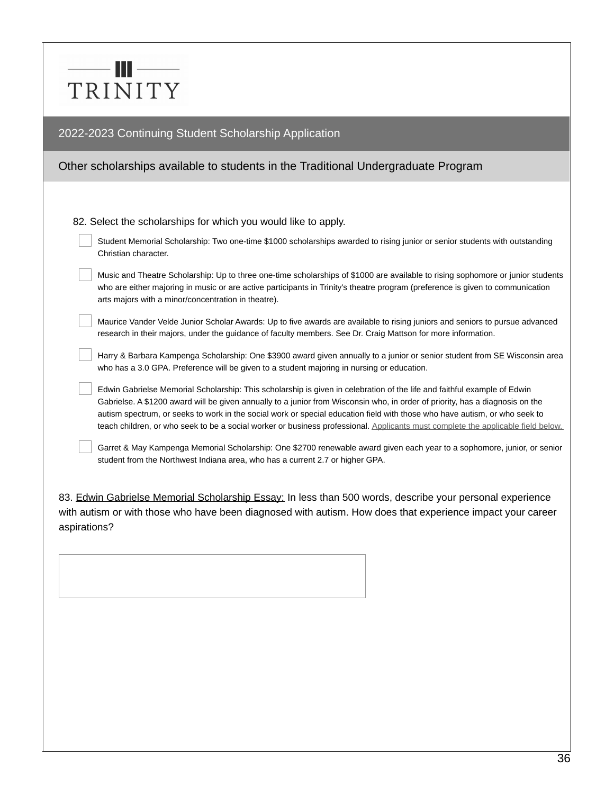# $-\|$   $-\|$ TRINITY

## 2022-2023 Continuing Student Scholarship Application

# Other scholarships available to students in the Traditional Undergraduate Program

82. Select the scholarships for which you would like to apply.

| Student Memorial Scholarship: Two one-time \$1000 scholarships awarded to rising junior or senior students with outstanding |
|-----------------------------------------------------------------------------------------------------------------------------|
| Christian character.                                                                                                        |

Music and Theatre Scholarship: Up to three one-time scholarships of \$1000 are available to rising sophomore or junior students who are either majoring in music or are active participants in Trinity's theatre program (preference is given to communication arts majors with a minor/concentration in theatre).

Maurice Vander Velde Junior Scholar Awards: Up to five awards are available to rising juniors and seniors to pursue advanced research in their majors, under the guidance of faculty members. See Dr. Craig Mattson for more information.

Harry & Barbara Kampenga Scholarship: One \$3900 award given annually to a junior or senior student from SE Wisconsin area who has a 3.0 GPA. Preference will be given to a student majoring in nursing or education.

Edwin Gabrielse Memorial Scholarship: This scholarship is given in celebration of the life and faithful example of Edwin Gabrielse. A \$1200 award will be given annually to a junior from Wisconsin who, in order of priority, has a diagnosis on the autism spectrum, or seeks to work in the social work or special education field with those who have autism, or who seek to teach children, or who seek to be a social worker or business professional. Applicants must complete the applicable field below.

Garret & May Kampenga Memorial Scholarship: One \$2700 renewable award given each year to a sophomore, junior, or senior student from the Northwest Indiana area, who has a current 2.7 or higher GPA.

83. Edwin Gabrielse Memorial Scholarship Essay: In less than 500 words, describe your personal experience with autism or with those who have been diagnosed with autism. How does that experience impact your career aspirations?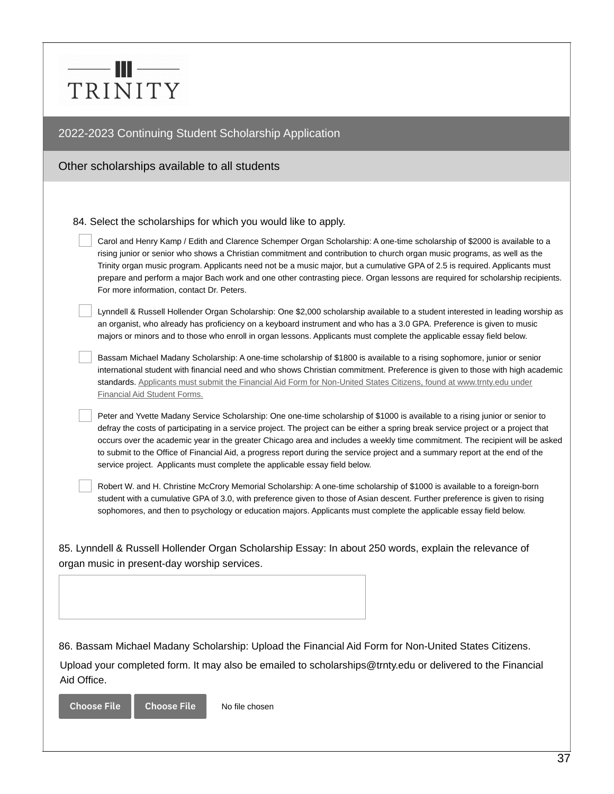# —— III —— TRINITY

# 2022-2023 Continuing Student Scholarship Application

Other scholarships available to all students

84. Select the scholarships for which you would like to apply.

Carol and Henry Kamp / Edith and Clarence Schemper Organ Scholarship: A one-time scholarship of \$2000 is available to a rising junior or senior who shows a Christian commitment and contribution to church organ music programs, as well as the Trinity organ music program. Applicants need not be a music major, but a cumulative GPA of 2.5 is required. Applicants must prepare and perform a major Bach work and one other contrasting piece. Organ lessons are required for scholarship recipients. For more information, contact Dr. Peters.

Lynndell & Russell Hollender Organ Scholarship: One \$2,000 scholarship available to a student interested in leading worship as an organist, who already has proficiency on a keyboard instrument and who has a 3.0 GPA. Preference is given to music majors or minors and to those who enroll in organ lessons. Applicants must complete the applicable essay field below.

Bassam Michael Madany Scholarship: A one-time scholarship of \$1800 is available to a rising sophomore, junior or senior international student with financial need and who shows Christian commitment. Preference is given to those with high academic standards. Applicants must submit the Financial Aid Form for Non-United States Citizens, found at www.trnty.edu under Financial Aid Student Forms.

Peter and Yvette Madany Service Scholarship: One one-time scholarship of \$1000 is available to a rising junior or senior to defray the costs of participating in a service project. The project can be either a spring break service project or a project that occurs over the academic year in the greater Chicago area and includes a weekly time commitment. The recipient will be asked to submit to the Office of Financial Aid, a progress report during the service project and a summary report at the end of the service project. Applicants must complete the applicable essay field below.

Robert W. and H. Christine McCrory Memorial Scholarship: A one-time scholarship of \$1000 is available to a foreign-born student with a cumulative GPA of 3.0, with preference given to those of Asian descent. Further preference is given to rising sophomores, and then to psychology or education majors. Applicants must complete the applicable essay field below.

85. Lynndell & Russell Hollender Organ Scholarship Essay: In about 250 words, explain the relevance of organ music in present-day worship services.

86. Bassam Michael Madany Scholarship: Upload the Financial Aid Form for Non-United States Citizens.

Upload your completed form. It may also be emailed to scholarships@trnty.edu or delivered to the Financial Aid Office.

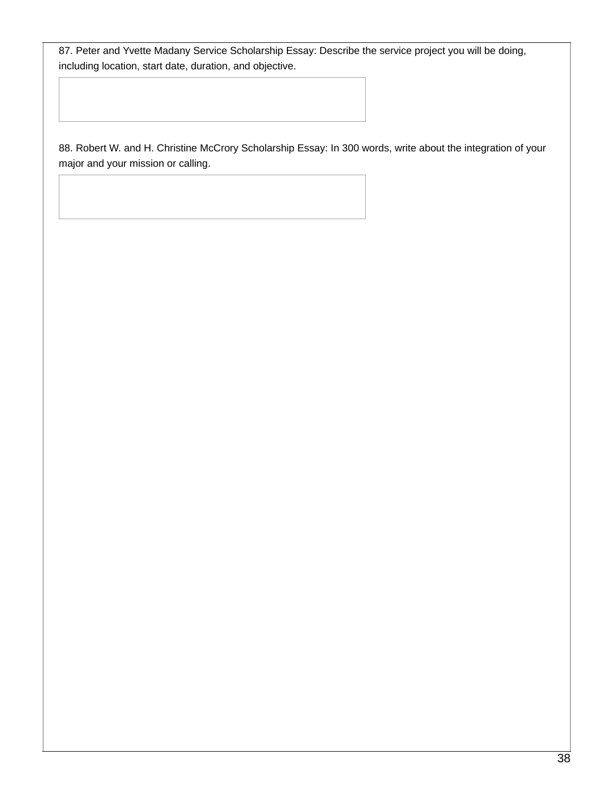87. Peter and Yvette Madany Service Scholarship Essay: Describe the service project you will be doing, including location, start date, duration, and objective.

88. Robert W. and H. Christine McCrory Scholarship Essay: In 300 words, write about the integration of your major and your mission or calling.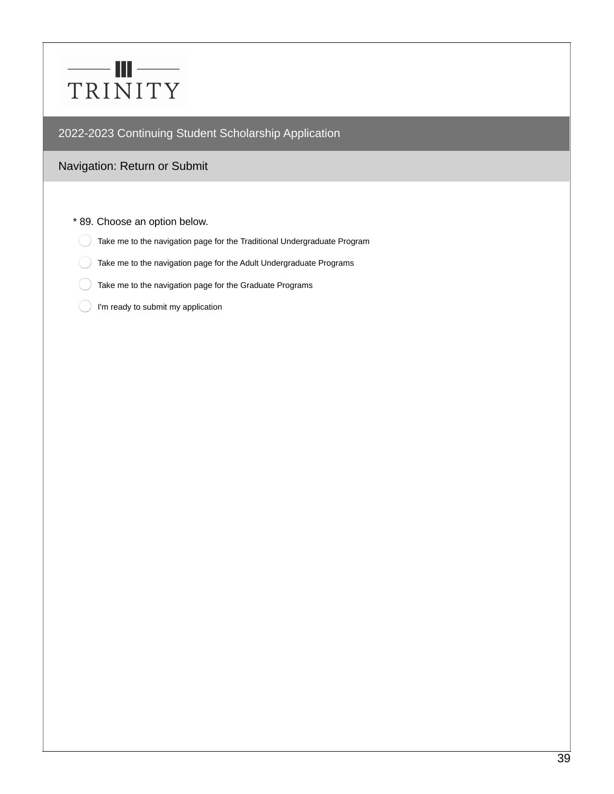# $\qquad \qquad \blacksquare$ TRINITY

# 2022-2023 Continuing Student Scholarship Application

# Navigation: Return or Submit

#### \* 89. Choose an option below.

- Take me to the navigation page for the Traditional Undergraduate Program
- Take me to the navigation page for the Adult Undergraduate Programs
- Take me to the navigation page for the Graduate Programs
- I'm ready to submit my application